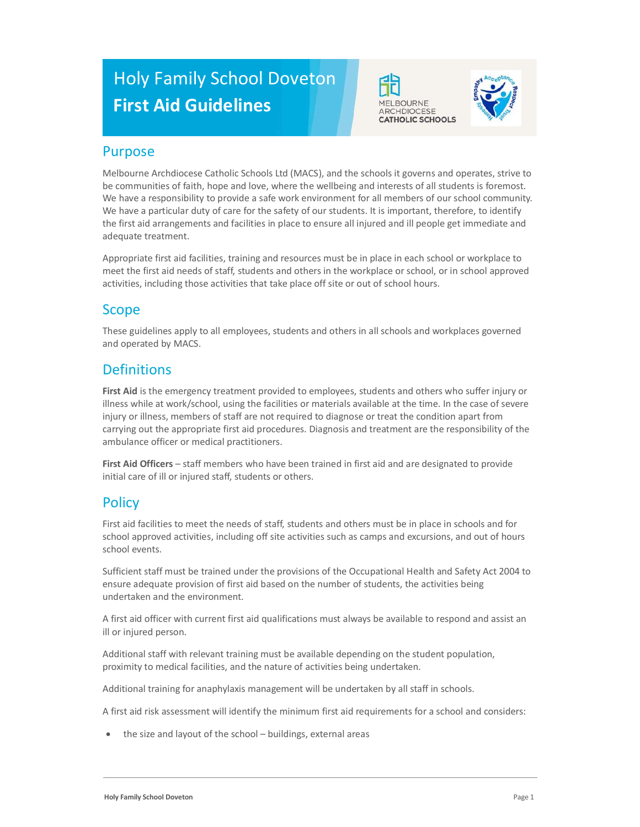# Holy Family School Doveton First Aid Guidelines





## Purpose

Melbourne Archdiocese Catholic Schools Ltd (MACS), and the schools it governs and operates, strive to be communities of faith, hope and love, where the wellbeing and interests of all students is foremost. We have a responsibility to provide a safe work environment for all members of our school community. We have a particular duty of care for the safety of our students. It is important, therefore, to identify the first aid arrangements and facilities in place to ensure all injured and ill people get immediate and adequate treatment.

Appropriate first aid facilities, training and resources must be in place in each school or workplace to meet the first aid needs of staff, students and others in the workplace or school, or in school approved activities, including those activities that take place off site or out of school hours.

# Scope

These guidelines apply to all employees, students and others in all schools and workplaces governed and operated by MACS.

# **Definitions**

First Aid is the emergency treatment provided to employees, students and others who suffer injury or illness while at work/school, using the facilities or materials available at the time. In the case of severe injury or illness, members of staff are not required to diagnose or treat the condition apart from carrying out the appropriate first aid procedures. Diagnosis and treatment are the responsibility of the ambulance officer or medical practitioners.

First Aid Officers - staff members who have been trained in first aid and are designated to provide initial care of ill or injured staff, students or others.

# **Policy**

First aid facilities to meet the needs of staff, students and others must be in place in schools and for school approved activities, including off site activities such as camps and excursions, and out of hours school events.

Sufficient staff must be trained under the provisions of the Occupational Health and Safety Act 2004 to ensure adequate provision of first aid based on the number of students, the activities being undertaken and the environment.

A first aid officer with current first aid qualifications must always be available to respond and assist an ill or injured person.

Additional staff with relevant training must be available depending on the student population, proximity to medical facilities, and the nature of activities being undertaken.

Additional training for anaphylaxis management will be undertaken by all staff in schools.

A first aid risk assessment will identify the minimum first aid requirements for a school and considers:

the size and layout of the school – buildings, external areas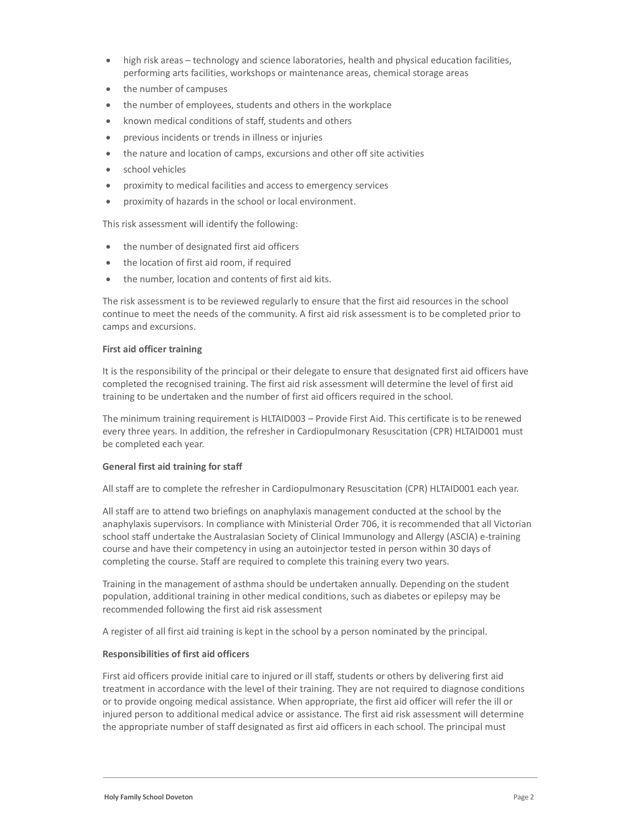- high risk areas technology and science laboratories, health and physical education facilities, performing arts facilities, workshops or maintenance areas, chemical storage areas
- the number of campuses
- the number of employees, students and others in the workplace
- known medical conditions of staff, students and others
- previous incidents or trends in illness or injuries
- the nature and location of camps, excursions and other off site activities
- school vehicles
- proximity to medical facilities and access to emergency services
- proximity of hazards in the school or local environment.

This risk assessment will identify the following:

- the number of designated first aid officers
- the location of first aid room, if required
- the number, location and contents of first aid kits.

The risk assessment is to be reviewed regularly to ensure that the first aid resources in the school continue to meet the needs of the community. A first aid risk assessment is to be completed prior to camps and excursions.

#### First aid officer training

It is the responsibility of the principal or their delegate to ensure that designated first aid officers have completed the recognised training. The first aid risk assessment will determine the level of first aid training to be undertaken and the number of first aid officers required in the school.

The minimum training requirement is HLTAID003 – Provide First Aid. This certificate is to be renewed every three years. In addition, the refresher in Cardiopulmonary Resuscitation (CPR) HLTAID001 must be completed each year.

#### General first aid training for staff

All staff are to complete the refresher in Cardiopulmonary Resuscitation (CPR) HLTAID001 each year.

All staff are to attend two briefings on anaphylaxis management conducted at the school by the anaphylaxis supervisors. In compliance with Ministerial Order 706, it is recommended that all Victorian school staff undertake the Australasian Society of Clinical Immunology and Allergy (ASCIA) e-training course and have their competency in using an autoinjector tested in person within 30 days of completing the course. Staff are required to complete this training every two years.

Training in the management of asthma should be undertaken annually. Depending on the student population, additional training in other medical conditions, such as diabetes or epilepsy may be recommended following the first aid risk assessment

A register of all first aid training is kept in the school by a person nominated by the principal.

#### Responsibilities of first aid officers

First aid officers provide initial care to injured or ill staff, students or others by delivering first aid treatment in accordance with the level of their training. They are not required to diagnose conditions or to provide ongoing medical assistance. When appropriate, the first aid officer will refer the ill or injured person to additional medical advice or assistance. The first aid risk assessment will determine the appropriate number of staff designated as first aid officers in each school. The principal must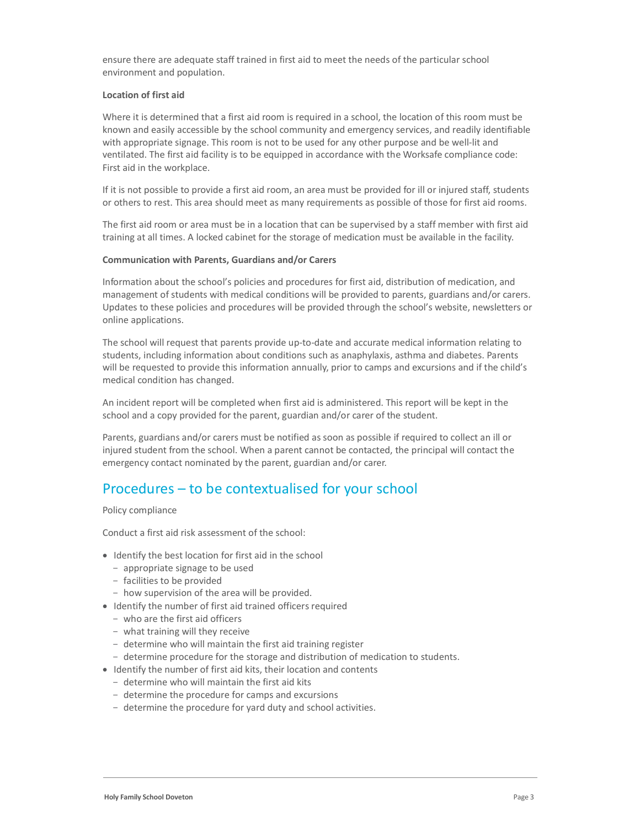ensure there are adequate staff trained in first aid to meet the needs of the particular school environment and population.

#### Location of first aid

Where it is determined that a first aid room is required in a school, the location of this room must be known and easily accessible by the school community and emergency services, and readily identifiable with appropriate signage. This room is not to be used for any other purpose and be well-lit and ventilated. The first aid facility is to be equipped in accordance with the Worksafe compliance code: First aid in the workplace.

If it is not possible to provide a first aid room, an area must be provided for ill or injured staff, students or others to rest. This area should meet as many requirements as possible of those for first aid rooms.

The first aid room or area must be in a location that can be supervised by a staff member with first aid training at all times. A locked cabinet for the storage of medication must be available in the facility.

#### Communication with Parents, Guardians and/or Carers

Information about the school's policies and procedures for first aid, distribution of medication, and management of students with medical conditions will be provided to parents, guardians and/or carers. Updates to these policies and procedures will be provided through the school's website, newsletters or online applications.

The school will request that parents provide up-to-date and accurate medical information relating to students, including information about conditions such as anaphylaxis, asthma and diabetes. Parents will be requested to provide this information annually, prior to camps and excursions and if the child's medical condition has changed.

An incident report will be completed when first aid is administered. This report will be kept in the school and a copy provided for the parent, guardian and/or carer of the student.

Parents, guardians and/or carers must be notified as soon as possible if required to collect an ill or injured student from the school. When a parent cannot be contacted, the principal will contact the emergency contact nominated by the parent, guardian and/or carer.

### Procedures – to be contextualised for your school

Policy compliance

Conduct a first aid risk assessment of the school:

- Identify the best location for first aid in the school
	- appropriate signage to be used
	- facilities to be provided
	- how supervision of the area will be provided.
- Identify the number of first aid trained officers required
	- who are the first aid officers
	- what training will they receive
	- determine who will maintain the first aid training register
	- determine procedure for the storage and distribution of medication to students.
- Identify the number of first aid kits, their location and contents
	- determine who will maintain the first aid kits
	- determine the procedure for camps and excursions
	- determine the procedure for yard duty and school activities.